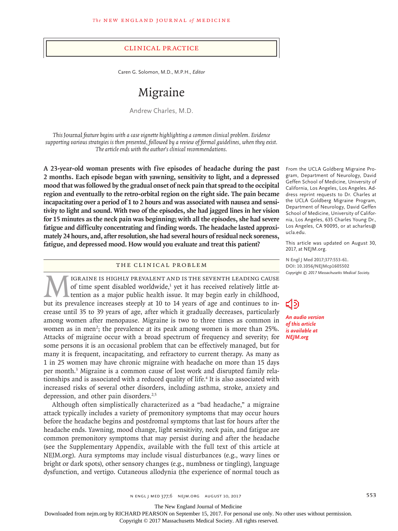#### Clinical Practice

Caren G. Solomon, M.D., M.P.H., *Editor*

# Migraine

Andrew Charles, M.D.

*This* Journal *feature begins with a case vignette highlighting a common clinical problem. Evidence supporting various strategies is then presented, followed by a review of formal guidelines, when they exist. The article ends with the author's clinical recommendations.*

**A 23-year-old woman presents with five episodes of headache during the past 2 months. Each episode began with yawning, sensitivity to light, and a depressed mood that was followed by the gradual onset of neck pain that spread to the occipital region and eventually to the retro-orbital region on the right side. The pain became incapacitating over a period of 1 to 2 hours and was associated with nausea and sensitivity to light and sound. With two of the episodes, she had jagged lines in her vision for 15 minutes as the neck pain was beginning; with all the episodes, she had severe fatigue and difficulty concentrating and finding words. The headache lasted approximately 24 hours, and, after resolution, she had several hours of residual neck soreness, fatigue, and depressed mood. How would you evaluate and treat this patient?**

# The Clinical Problem

MIGRAINE IS HIGHLY PREVALENT AND IS THE SEVENTH LEADING CAUSE<br>of time spent disabled worldwide,<sup>1</sup> yet it has received relatively little at-<br>tention as a major public health issue. It may begin early in childhood,<br>but its of time spent disabled worldwide,<sup>1</sup> yet it has received relatively little attention as a major public health issue. It may begin early in childhood, but its prevalence increases steeply at 10 to 14 years of age and continues to increase until 35 to 39 years of age, after which it gradually decreases, particularly among women after menopause. Migraine is two to three times as common in women as in men<sup>2</sup>; the prevalence at its peak among women is more than 25%. Attacks of migraine occur with a broad spectrum of frequency and severity; for some persons it is an occasional problem that can be effectively managed, but for many it is frequent, incapacitating, and refractory to current therapy. As many as 1 in 25 women may have chronic migraine with headache on more than 15 days per month.3 Migraine is a common cause of lost work and disrupted family relationships and is associated with a reduced quality of life.<sup>4</sup> It is also associated with increased risks of several other disorders, including asthma, stroke, anxiety and depression, and other pain disorders.<sup>2,5</sup>

Although often simplistically characterized as a "bad headache," a migraine attack typically includes a variety of premonitory symptoms that may occur hours before the headache begins and postdromal symptoms that last for hours after the headache ends. Yawning, mood change, light sensitivity, neck pain, and fatigue are common premonitory symptoms that may persist during and after the headache (see the Supplementary Appendix, available with the full text of this article at NEJM.org). Aura symptoms may include visual disturbances (e.g., wavy lines or bright or dark spots), other sensory changes (e.g., numbness or tingling), language dysfunction, and vertigo. Cutaneous allodynia (the experience of normal touch as

From the UCLA Goldberg Migraine Program, Department of Neurology, David Geffen School of Medicine, University of California, Los Angeles, Los Angeles. Address reprint requests to Dr. Charles at the UCLA Goldberg Migraine Program, Department of Neurology, David Geffen School of Medicine, University of California, Los Angeles, 635 Charles Young Dr., Los Angeles, CA 90095, or at acharles@ ucla.edu.

This article was updated on August 30, 2017, at NEJM.org.

**N Engl J Med 2017;377:553-61. DOI: 10.1056/NEJMcp1605502** *Copyright © 2017 Massachusetts Medical Society.*

# ๔๒

*An audio version of this article is available at NEJM.org*

The New England Journal of Medicine

Downloaded from nejm.org by RICHARD PEARSON on September 15, 2017. For personal use only. No other uses without permission.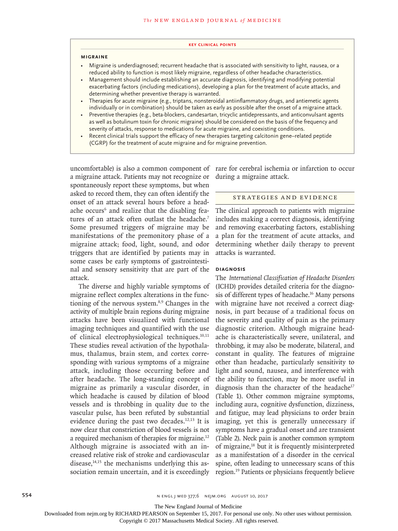#### **Key Clinical Points**

#### **Migraine**

- • Migraine is underdiagnosed; recurrent headache that is associated with sensitivity to light, nausea, or a reduced ability to function is most likely migraine, regardless of other headache characteristics.
- Management should include establishing an accurate diagnosis, identifying and modifying potential exacerbating factors (including medications), developing a plan for the treatment of acute attacks, and determining whether preventive therapy is warranted.
- Therapies for acute migraine (e.g., triptans, nonsteroidal antiinflammatory drugs, and antiemetic agents individually or in combination) should be taken as early as possible after the onset of a migraine attack.
- Preventive therapies (e.g., beta-blockers, candesartan, tricyclic antidepressants, and anticonvulsant agents as well as botulinum toxin for chronic migraine) should be considered on the basis of the frequency and severity of attacks, response to medications for acute migraine, and coexisting conditions.
- Recent clinical trials support the efficacy of new therapies targeting calcitonin gene–related peptide (CGRP) for the treatment of acute migraine and for migraine prevention.

uncomfortable) is also a common component of a migraine attack. Patients may not recognize or spontaneously report these symptoms, but when asked to record them, they can often identify the onset of an attack several hours before a headache occurs<sup>6</sup> and realize that the disabling features of an attack often outlast the headache.<sup>7</sup> Some presumed triggers of migraine may be manifestations of the premonitory phase of a migraine attack; food, light, sound, and odor triggers that are identified by patients may in some cases be early symptoms of gastrointestinal and sensory sensitivity that are part of the attack.

The diverse and highly variable symptoms of migraine reflect complex alterations in the functioning of the nervous system.<sup>8,9</sup> Changes in the activity of multiple brain regions during migraine attacks have been visualized with functional imaging techniques and quantified with the use of clinical electrophysiological techniques. $10,11$ These studies reveal activation of the hypothalamus, thalamus, brain stem, and cortex corresponding with various symptoms of a migraine attack, including those occurring before and after headache. The long-standing concept of migraine as primarily a vascular disorder, in which headache is caused by dilation of blood vessels and is throbbing in quality due to the vascular pulse, has been refuted by substantial evidence during the past two decades.<sup>12,13</sup> It is now clear that constriction of blood vessels is not a required mechanism of therapies for migraine.<sup>12</sup> Although migraine is associated with an increased relative risk of stroke and cardiovascular disease, $14,15$  the mechanisms underlying this association remain uncertain, and it is exceedingly

rare for cerebral ischemia or infarction to occur during a migraine attack.

## Strategies and Evidence

The clinical approach to patients with migraine includes making a correct diagnosis, identifying and removing exacerbating factors, establishing a plan for the treatment of acute attacks, and determining whether daily therapy to prevent attacks is warranted.

# **Diagnosis**

The *International Classification of Headache Disorders* (ICHD) provides detailed criteria for the diagnosis of different types of headache.<sup>16</sup> Many persons with migraine have not received a correct diagnosis, in part because of a traditional focus on the severity and quality of pain as the primary diagnostic criterion. Although migraine headache is characteristically severe, unilateral, and throbbing, it may also be moderate, bilateral, and constant in quality. The features of migraine other than headache, particularly sensitivity to light and sound, nausea, and interference with the ability to function, may be more useful in diagnosis than the character of the headache<sup>17</sup> (Table 1). Other common migraine symptoms, including aura, cognitive dysfunction, dizziness, and fatigue, may lead physicians to order brain imaging, yet this is generally unnecessary if symptoms have a gradual onset and are transient (Table 2). Neck pain is another common symptom of migraine,18 but it is frequently misinterpreted as a manifestation of a disorder in the cervical spine, often leading to unnecessary scans of this region.19 Patients or physicians frequently believe

The New England Journal of Medicine

Downloaded from nejm.org by RICHARD PEARSON on September 15, 2017. For personal use only. No other uses without permission.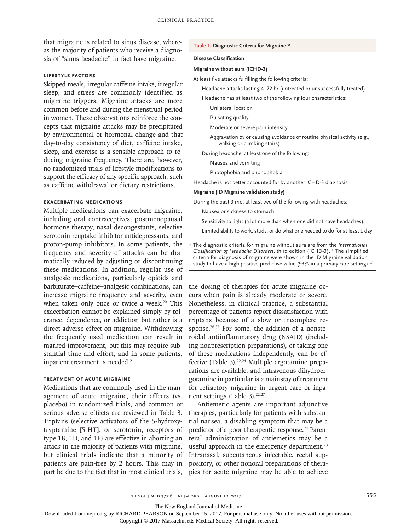that migraine is related to sinus disease, whereas the majority of patients who receive a diagnosis of "sinus headache" in fact have migraine.

## **Lifestyle Factors**

Skipped meals, irregular caffeine intake, irregular sleep, and stress are commonly identified as migraine triggers. Migraine attacks are more common before and during the menstrual period in women. These observations reinforce the concepts that migraine attacks may be precipitated by environmental or hormonal change and that day-to-day consistency of diet, caffeine intake, sleep, and exercise is a sensible approach to reducing migraine frequency. There are, however, no randomized trials of lifestyle modifications to support the efficacy of any specific approach, such as caffeine withdrawal or dietary restrictions.

### **Exacerbating Medications**

Multiple medications can exacerbate migraine, including oral contraceptives, postmenopausal hormone therapy, nasal decongestants, selective serotonin-reuptake inhibitor antidepressants, and proton-pump inhibitors. In some patients, the frequency and severity of attacks can be dramatically reduced by adjusting or discontinuing these medications. In addition, regular use of analgesic medications, particularly opioids and barbiturate–caffeine–analgesic combinations, can increase migraine frequency and severity, even when taken only once or twice a week.<sup>20</sup> This exacerbation cannot be explained simply by tolerance, dependence, or addiction but rather is a direct adverse effect on migraine. Withdrawing the frequently used medication can result in marked improvement, but this may require substantial time and effort, and in some patients, inpatient treatment is needed.<sup>21</sup>

## **Treatment of Acute Migraine**

Medications that are commonly used in the management of acute migraine, their effects (vs. placebo) in randomized trials, and common or serious adverse effects are reviewed in Table 3. Triptans (selective activators of the 5-hydroxytryptamine [5-HT], or serotonin, receptors of type 1B, 1D, and 1F) are effective in aborting an attack in the majority of patients with migraine, but clinical trials indicate that a minority of patients are pain-free by 2 hours. This may in part be due to the fact that in most clinical trials,

### **Table 1. Diagnostic Criteria for Migraine.\***

#### **Disease Classification**

#### **Migraine without aura (ICHD-3)**

At least five attacks fulfilling the following criteria:

Headache attacks lasting 4–72 hr (untreated or unsuccessfully treated)

Headache has at least two of the following four characteristics:

Unilateral location

Pulsating quality

Moderate or severe pain intensity

Aggravation by or causing avoidance of routine physical activity (e.g., walking or climbing stairs)

During headache, at least one of the following:

Nausea and vomiting

Photophobia and phonophobia

Headache is not better accounted for by another ICHD-3 diagnosis

**Migraine (ID Migraine validation study)**

During the past 3 mo, at least two of the following with headaches:

Nausea or sickness to stomach

Sensitivity to light (a lot more than when one did not have headaches)

Limited ability to work, study, or do what one needed to do for at least 1 day

\* The diagnostic criteria for migraine without aura are from the *International Classification of Headache Disorders*, third edition (ICHD-3).16 The simplified criteria for diagnosis of migraine were shown in the ID Migraine validation study to have a high positive predictive value (93% in a primary care setting).<sup>17</sup>

the dosing of therapies for acute migraine occurs when pain is already moderate or severe. Nonetheless, in clinical practice, a substantial percentage of patients report dissatisfaction with triptans because of a slow or incomplete response.<sup>36,37</sup> For some, the addition of a nonsteroidal antiinflammatory drug (NSAID) (including nonprescription preparations), or taking one of these medications independently, can be effective (Table 3).<sup>22,24</sup> Multiple ergotamine preparations are available, and intravenous dihydroergotamine in particular is a mainstay of treatment for refractory migraine in urgent care or inpatient settings (Table 3). $22,27$ 

Antiemetic agents are important adjunctive therapies, particularly for patients with substantial nausea, a disabling symptom that may be a predictor of a poor therapeutic response.<sup>28</sup> Parenteral administration of antiemetics may be a useful approach in the emergency department.<sup>23</sup> Intranasal, subcutaneous injectable, rectal suppository, or other nonoral preparations of therapies for acute migraine may be able to achieve

n engl j med 377;6 nejm.org August 10, 2017 555

The New England Journal of Medicine

Downloaded from nejm.org by RICHARD PEARSON on September 15, 2017. For personal use only. No other uses without permission.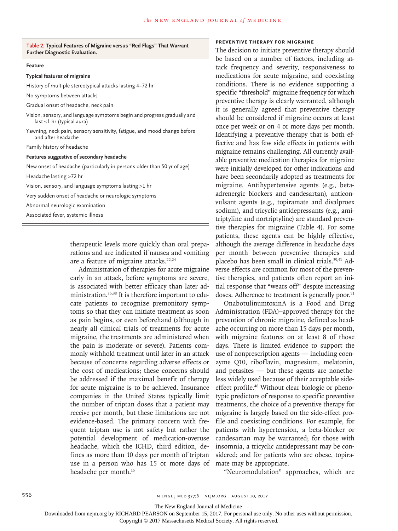**Table 2. Typical Features of Migraine versus "Red Flags" That Warrant Further Diagnostic Evaluation.**

#### **Feature**

## **Typical features of migraine**

History of multiple stereotypical attacks lasting 4–72 hr

No symptoms between attacks

Gradual onset of headache, neck pain

- Vision, sensory, and language symptoms begin and progress gradually and last ≤1 hr (typical aura)
- Yawning, neck pain, sensory sensitivity, fatigue, and mood change before and after headache

Family history of headache

**Features suggestive of secondary headache**

New onset of headache (particularly in persons older than 50 yr of age)

Headache lasting >72 hr

Vision, sensory, and language symptoms lasting >1 hr

Very sudden onset of headache or neurologic symptoms

Abnormal neurologic examination

Associated fever, systemic illness

therapeutic levels more quickly than oral preparations and are indicated if nausea and vomiting are a feature of migraine attacks.<sup>22,24</sup>

Administration of therapies for acute migraine early in an attack, before symptoms are severe, is associated with better efficacy than later administration.36,38 It is therefore important to educate patients to recognize premonitory symptoms so that they can initiate treatment as soon as pain begins, or even beforehand (although in nearly all clinical trials of treatments for acute migraine, the treatments are administered when the pain is moderate or severe). Patients commonly withhold treatment until later in an attack because of concerns regarding adverse effects or the cost of medications; these concerns should be addressed if the maximal benefit of therapy for acute migraine is to be achieved. Insurance companies in the United States typically limit the number of triptan doses that a patient may receive per month, but these limitations are not evidence-based. The primary concern with frequent triptan use is not safety but rather the potential development of medication-overuse headache, which the ICHD, third edition, defines as more than 10 days per month of triptan use in a person who has 15 or more days of headache per month.<sup>16</sup>

### **Preventive Therapy for Migraine**

The decision to initiate preventive therapy should be based on a number of factors, including attack frequency and severity, responsiveness to medications for acute migraine, and coexisting conditions. There is no evidence supporting a specific "threshold" migraine frequency for which preventive therapy is clearly warranted, although it is generally agreed that preventive therapy should be considered if migraine occurs at least once per week or on 4 or more days per month. Identifying a preventive therapy that is both effective and has few side effects in patients with migraine remains challenging. All currently available preventive medication therapies for migraine were initially developed for other indications and have been secondarily adopted as treatments for migraine. Antihypertensive agents (e.g., betaadrenergic blockers and candesartan), anticonvulsant agents (e.g., topiramate and divalproex sodium), and tricyclic antidepressants (e.g., amitriptyline and nortriptyline) are standard preventive therapies for migraine (Table 4). For some patients, these agents can be highly effective, although the average difference in headache days per month between preventive therapies and placebo has been small in clinical trials.39,41 Adverse effects are common for most of the preventive therapies, and patients often report an initial response that "wears off" despite increasing doses. Adherence to treatment is generally poor.<sup>51</sup>

OnabotulinumtoxinA is a Food and Drug Administration (FDA)–approved therapy for the prevention of chronic migraine, defined as headache occurring on more than 15 days per month, with migraine features on at least 8 of those days. There is limited evidence to support the use of nonprescription agents — including coenzyme Q10, riboflavin, magnesium, melatonin, and petasites — but these agents are nonetheless widely used because of their acceptable sideeffect profile.46 Without clear biologic or phenotypic predictors of response to specific preventive treatments, the choice of a preventive therapy for migraine is largely based on the side-effect profile and coexisting conditions. For example, for patients with hypertension, a beta-blocker or candesartan may be warranted; for those with insomnia, a tricyclic antidepressant may be considered; and for patients who are obese, topiramate may be appropriate.

"Neuromodulation" approaches, which are

The New England Journal of Medicine

Downloaded from nejm.org by RICHARD PEARSON on September 15, 2017. For personal use only. No other uses without permission.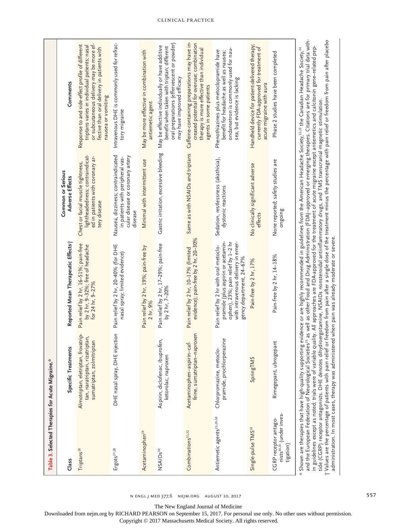| Table 3. Selected Therapies for Acute Migraine.*                           |                                                                                                       |                                                                                                                                                                                                                                                              |                                                                                                                          |                                                                                                                                                                                                                                                                                                                                                                                                                                                                                                                                                                                                                                                                                                                                                                                           |
|----------------------------------------------------------------------------|-------------------------------------------------------------------------------------------------------|--------------------------------------------------------------------------------------------------------------------------------------------------------------------------------------------------------------------------------------------------------------|--------------------------------------------------------------------------------------------------------------------------|-------------------------------------------------------------------------------------------------------------------------------------------------------------------------------------------------------------------------------------------------------------------------------------------------------------------------------------------------------------------------------------------------------------------------------------------------------------------------------------------------------------------------------------------------------------------------------------------------------------------------------------------------------------------------------------------------------------------------------------------------------------------------------------------|
| Class                                                                      | Specific Treatments                                                                                   | Reported Mean Therapeutic Effects;                                                                                                                                                                                                                           | Common or Serious<br>Adverse Effects                                                                                     | Comments                                                                                                                                                                                                                                                                                                                                                                                                                                                                                                                                                                                                                                                                                                                                                                                  |
| Triptans <sup>26</sup>                                                     | frovatrip-<br>tan, naratriptan, rizatriptan,<br>sumatriptan, zolmitriptan<br>Almotriptan, eletriptan, | Pain relief by 2 hr, 16-51%; pain-free<br>by 2 hr, 9-32%; free of headache<br>for 24 hr, 9-27%                                                                                                                                                               | lightheadedness; contraindicat-<br>ed in patients with coronary ar-<br>Chest or facial muscle tightness,<br>tery disease | or subcutaneous delivery may be more ef-<br>Response to and side-effect profile of different<br>triptans varies in individual patients; nasal<br>fective than oral delivery in patients with<br>nausea or vomiting                                                                                                                                                                                                                                                                                                                                                                                                                                                                                                                                                                        |
| Ergots <sup>27,28</sup>                                                    | injection<br>DHE nasal spray, DHE                                                                     | Pain relief by 2 hr, 20-40% (for DHE<br>nasal spray; limited evidence)                                                                                                                                                                                       | Nausea, dizziness; contraindicated<br>cular disease or coronary artery<br>in patients with peripheral vas-<br>disease    | Intravenous DHE is commonly used for refrac-<br>tory migraine                                                                                                                                                                                                                                                                                                                                                                                                                                                                                                                                                                                                                                                                                                                             |
| Acetaminophen <sup>29</sup>                                                |                                                                                                       | Pain relief by 2 hr, 19%; pain-free by<br>2 hr, 9%                                                                                                                                                                                                           | Minimal with intermittent use                                                                                            | May be more effective in combination with<br>antiemetic agent                                                                                                                                                                                                                                                                                                                                                                                                                                                                                                                                                                                                                                                                                                                             |
| NSAID <sub>s30</sub>                                                       | Aspirin, diclofenac, ibuprofen,<br>ketorolac, naproxen                                                | Pain relief by 2 hr, 17-29%; pain-free<br>by 2 hr, 7-20%                                                                                                                                                                                                     | Gastric irritation, excessive bleeding                                                                                   | oral preparations (effervescent or powder)<br>May be effective individually or have additive<br>benefit when taken with triptan; different<br>may have improved efficacy                                                                                                                                                                                                                                                                                                                                                                                                                                                                                                                                                                                                                  |
| Combination <sub>S31,32</sub>                                              | feine, sumatriptan-naproxen<br>Acetaminophen-aspirin-caf-                                             | evidence); pain-free by 2 hr, 20-30%<br>Pain relief by 2 hr, 10-17% (limited                                                                                                                                                                                 | Same as with NSAIDs and triptans                                                                                         | Caffeine-containing preparations may have in-<br>creased potential for overuse; combination<br>therapy is more effective than individual<br>agents in some patients                                                                                                                                                                                                                                                                                                                                                                                                                                                                                                                                                                                                                       |
| Antiemetic agents <sup>23,29,30</sup>                                      | pramide, prochlorperazine<br>Chlorpromazine, metoclo-                                                 | pramide (plus aspirin or acetamin-<br>with intravenous delivery in emer-<br>ophen), 23%; pain relief by 1–2 hr<br>Pain relief by 2 hr with oral metoclo-<br>gency department, 24-67%                                                                         | Sedation, restlessness (akathisia),<br>dystonic reactions                                                                | ondansetron is commonly used for nau-<br>Phenothiazines plus metoclopramide have<br>benefit for headache as well as nausea;<br>sea, but evidence is lacking                                                                                                                                                                                                                                                                                                                                                                                                                                                                                                                                                                                                                               |
| Single-pulse TMS <sup>33</sup>                                             | SpringTMS                                                                                             | Pain-free by 2 hr, 17%                                                                                                                                                                                                                                       | No clinically significant adverse<br>effects                                                                             | Handheld device for patient-delivered therapy;<br>currently FDA-approved for treatment of<br>acute migraine with aura                                                                                                                                                                                                                                                                                                                                                                                                                                                                                                                                                                                                                                                                     |
| nists <sup>34,35</sup> (under inves-<br>CGRP receptor antago-<br>tigation) | Rimegepant, ubrogepant                                                                                | Pain-free by 2 hr, 14-18%                                                                                                                                                                                                                                    | None reported; safety studies are<br>aunguo                                                                              | Phase 2 studies have been completed                                                                                                                                                                                                                                                                                                                                                                                                                                                                                                                                                                                                                                                                                                                                                       |
| in guidelines except as noted; trials were of variabl                      |                                                                                                       | tide (CGRP) receptor antagonists. DHE denotes dihydroergotamine, NSAIDs nonsteroidal antiinflammatory drugs, and TMS transcranial magnetic stimulation.<br>administration. In most cases, therapy was administered when pain was already moderate or severe. |                                                                                                                          | t Values are the percentage of patients with pain relief or freedom from pain after a single dose of the treatment minus the percentage with pain relief or freedom from pain after placebo the star place in the place with p<br>and the European Federation of Neurological Societies <sup>23</sup> as well as other Food and Drug Administration (FDA)–approved or emerging therapies. Citations are for primary trial data with-<br>le quality. All approaches are FDA-approved for the treatment of acute migraine except antiemetics and calcitonin gene-related pep-<br>* Shown are therapies that have high-quality supporting evidence or are highly recommended in guidelines from the American Headache Society, <sup>24.23</sup> the Canadian Headache Society, <sup>24</sup> |

Clinical Practice

The New England Journal of Medicine

Downloaded from nejm.org by RICHARD PEARSON on September 15, 2017. For personal use only. No other uses without permission.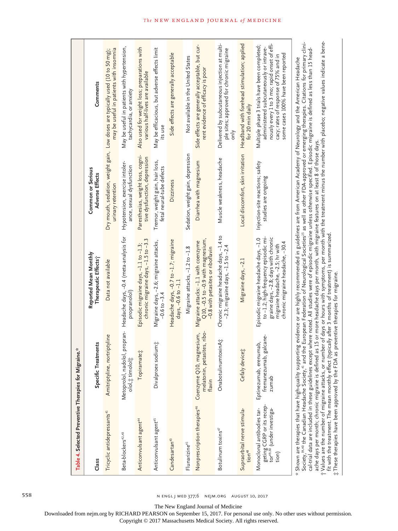| Table 4. Selected Preventive Therapies for Migraine.*                                                      |                                                                                       |                                                                                                                                                                                                                                                                                                                                                                                |                                                                   |                                                                                                                                                                                                                                                                                                                                                                                                                                                                                                                                                                                                    |
|------------------------------------------------------------------------------------------------------------|---------------------------------------------------------------------------------------|--------------------------------------------------------------------------------------------------------------------------------------------------------------------------------------------------------------------------------------------------------------------------------------------------------------------------------------------------------------------------------|-------------------------------------------------------------------|----------------------------------------------------------------------------------------------------------------------------------------------------------------------------------------------------------------------------------------------------------------------------------------------------------------------------------------------------------------------------------------------------------------------------------------------------------------------------------------------------------------------------------------------------------------------------------------------------|
| Class                                                                                                      | Specific Treatments                                                                   | Reported Mean Monthly<br>Therapeutic Effects;                                                                                                                                                                                                                                                                                                                                  | Common or Serious<br>Adverse Effects                              | Comments                                                                                                                                                                                                                                                                                                                                                                                                                                                                                                                                                                                           |
| Tricyclic antidepressants <sup>41</sup>                                                                    | Amitriptyline, nortriptyline                                                          | Data not available                                                                                                                                                                                                                                                                                                                                                             | urinary retention                                                 | may be useful in patients with insomnia<br>Dry mouth, sedation, weight gain, Low doses are typically used (10 to 50 mg);                                                                                                                                                                                                                                                                                                                                                                                                                                                                           |
| Beta-blockers <sup>42,43</sup>                                                                             | Metoprolol, nadolol, propran-<br>olol, timolol t                                      | Headache days, -0.4 (meta-analysis for<br>propranolol)                                                                                                                                                                                                                                                                                                                         | Hypotension, exercise intoler-<br>ance, sexual dysfunction        | May be useful in patients with hypertension,<br>tachycardia, or anxiety                                                                                                                                                                                                                                                                                                                                                                                                                                                                                                                            |
| Anticonvulsant agent <sup>44</sup>                                                                         | Topiramate#                                                                           | chronic migraine days, -1.5 to -3.3<br>Episodic migraine days, -1.1 to -1.3;                                                                                                                                                                                                                                                                                                   | Paresthesias, weight loss, cogni-<br>tive dysfunction, depression | Also used for weight loss; preparations with<br>various half-lives are available                                                                                                                                                                                                                                                                                                                                                                                                                                                                                                                   |
| Anticonvulsant agent <sup>45</sup>                                                                         | Divalproex sodium;                                                                    | Migraine days, -2.6; migraine attacks,<br>$-0.6$ to $-3.4$                                                                                                                                                                                                                                                                                                                     | Tremor, weight gain, hair loss,<br>fetal neural-tube defects      | May be efficacious, but adverse effects limit<br>its use                                                                                                                                                                                                                                                                                                                                                                                                                                                                                                                                           |
| Candesartan <sup>43</sup>                                                                                  |                                                                                       | Headache days, -0.7 to -1.7; migraine<br>days, -0.6 to -1.1                                                                                                                                                                                                                                                                                                                    | Dizziness                                                         | Side effects are generally acceptable                                                                                                                                                                                                                                                                                                                                                                                                                                                                                                                                                              |
| Flunarizine <sup>41</sup>                                                                                  |                                                                                       | Migraine attacks, -1.2 to -1.8                                                                                                                                                                                                                                                                                                                                                 | Sedation, weight gain, depression                                 | Not available in the United States                                                                                                                                                                                                                                                                                                                                                                                                                                                                                                                                                                 |
| Nonprescription therapies <sup>46</sup>                                                                    | melatonin, petasites, ribo-<br>Coenzyme Q10, magnesium,<br>flavin                     | Q10, -0.5 to -0.9 with magnesium,<br>Migraine attacks: -1.1 with coenzyme<br>-0.8 with petasites or riboflavin                                                                                                                                                                                                                                                                 | Diarrhea with magnesium                                           | Side effects are generally acceptable, but cur-<br>rent evidence of efficacy is poor                                                                                                                                                                                                                                                                                                                                                                                                                                                                                                               |
| Botulinum toxins <sup>47</sup>                                                                             | OnabotulinumtoxinA                                                                    | Chronic migraine headache days, -1.4 to<br>$-2.3$ ; migraine days, $-1.5$ to $-2.4$                                                                                                                                                                                                                                                                                            | Muscle weakness, headache                                         | Delivered by subcutaneous injection at multi-<br>ple sites; approved for chronic migraine<br>only                                                                                                                                                                                                                                                                                                                                                                                                                                                                                                  |
| Supraorbital nerve stimula-<br>tion <sup>48</sup>                                                          | Cefaly device;                                                                        | Migraine days, -2.1                                                                                                                                                                                                                                                                                                                                                            | Local discomfort, skin irritation                                 | Headband with forehead stimulation; applied<br>for 20 min daily                                                                                                                                                                                                                                                                                                                                                                                                                                                                                                                                    |
| geting CGRP or its recep-<br>tor <sup>49,50</sup> (under investiga-<br>Monoclonal antibodies tar-<br>tion) | galcane-<br>Eptinezumab, erenumab,<br>fremanezumab,<br>zumab                          | to -1.2; high-frequency episodic mi-<br>graine days, -2.8; days with chronic<br>Episodic migraine headache days, -1.0<br>chronic migraine headache, -30.4<br>migraine headache, -2.5; hr with                                                                                                                                                                                  | Injection-site reactions; safety<br>studies are ongoing           | nously every 1 to 3 mo; rapid onset of effi-<br>Multiple phase 3 trials have been completed;<br>administered subcutaneously or intrave-<br>some cases 100% have been reported<br>cacy; rates of response of 75% and in                                                                                                                                                                                                                                                                                                                                                                             |
| ache days per month; chronic migraine is defined<br>×                                                      | # These therapies have been approved by the FDA as preventive therapies for migraine. | Shown are therapies that have high-quality supporting evidence or are highly recommended in guidelines are from American Academy of Neurology and the American Headache<br>as 15 or more headache days per month, with migraine features on at least 8 of those days.<br>fit with the treatment. The mean monthly effect (typically after 3 months of treatment) is summarized |                                                                   | t Values are the number of migraine attacks, or number of days or hours with symptoms, per month with the treatment minus the number with placebo; negative values indicate a bene-<br>Society, $^{3,40}$ the Canadian Headache Society, $^{41}$ and the European Federation of Neurological Societies <sup>25</sup> as well as other FDA-approved or emerging therapies. Citations for primary clini-<br>cal-trial data are included in these guidelines except where noted. All studies were of episodic migraine unless otherwise specified. Episodic migraine is defined as less than 15 head- |

558 **n ENGL** j MED 377;6 NEJM.ORG AUGUST 10, 2017

The New England Journal of Medicine

Downloaded from nejm.org by RICHARD PEARSON on September 15, 2017. For personal use only. No other uses without permission.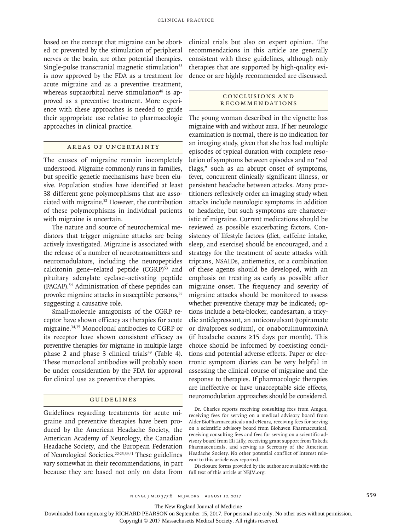based on the concept that migraine can be aborted or prevented by the stimulation of peripheral nerves or the brain, are other potential therapies. Single-pulse transcranial magnetic stimulation<sup>33</sup> is now approved by the FDA as a treatment for acute migraine and as a preventive treatment, whereas supraorbital nerve stimulation<sup>48</sup> is approved as a preventive treatment. More experience with these approaches is needed to guide their appropriate use relative to pharmacologic approaches in clinical practice.

# Areas of Uncertainty

The causes of migraine remain incompletely understood. Migraine commonly runs in families, but specific genetic mechanisms have been elusive. Population studies have identified at least 38 different gene polymorphisms that are associated with migraine.52 However, the contribution of these polymorphisms in individual patients with migraine is uncertain.

The nature and source of neurochemical mediators that trigger migraine attacks are being actively investigated. Migraine is associated with the release of a number of neurotransmitters and neuromodulators, including the neuropeptides calcitonin gene-related peptide (CGRP)<sup>53</sup> and pituitary adenylate cyclase–activating peptide (PACAP).54 Administration of these peptides can provoke migraine attacks in susceptible persons,<sup>55</sup> suggesting a causative role.

Small-molecule antagonists of the CGRP receptor have shown efficacy as therapies for acute migraine.34,35 Monoclonal antibodies to CGRP or its receptor have shown consistent efficacy as preventive therapies for migraine in multiple large phase 2 and phase 3 clinical trials<sup>49</sup> (Table 4). These monoclonal antibodies will probably soon be under consideration by the FDA for approval for clinical use as preventive therapies.

#### Guidelines

Guidelines regarding treatments for acute migraine and preventive therapies have been produced by the American Headache Society, the American Academy of Neurology, the Canadian Headache Society, and the European Federation of Neurological Societies.22-25,39,41 These guidelines vary somewhat in their recommendations, in part because they are based not only on data from clinical trials but also on expert opinion. The recommendations in this article are generally consistent with these guidelines, although only therapies that are supported by high-quality evidence or are highly recommended are discussed.

#### Conclusions a nd Recommendations

The young woman described in the vignette has migraine with and without aura. If her neurologic examination is normal, there is no indication for an imaging study, given that she has had multiple episodes of typical duration with complete resolution of symptoms between episodes and no "red flags," such as an abrupt onset of symptoms, fever, concurrent clinically significant illness, or persistent headache between attacks. Many practitioners reflexively order an imaging study when attacks include neurologic symptoms in addition to headache, but such symptoms are characteristic of migraine. Current medications should be reviewed as possible exacerbating factors. Consistency of lifestyle factors (diet, caffeine intake, sleep, and exercise) should be encouraged, and a strategy for the treatment of acute attacks with triptans, NSAIDs, antiemetics, or a combination of these agents should be developed, with an emphasis on treating as early as possible after migraine onset. The frequency and severity of migraine attacks should be monitored to assess whether preventive therapy may be indicated; options include a beta-blocker, candesartan, a tricyclic antidepressant, an anticonvulsant (topiramate or divalproex sodium), or onabotulinumtoxinA (if headache occurs ≥15 days per month). This choice should be informed by coexisting conditions and potential adverse effects. Paper or electronic symptom diaries can be very helpful in assessing the clinical course of migraine and the response to therapies. If pharmacologic therapies are ineffective or have unacceptable side effects, neuromodulation approaches should be considered.

Disclosure forms provided by the author are available with the full text of this article at NEJM.org.

n engl j med 377;6 nejm.org August 10, 2017 559

The New England Journal of Medicine

Downloaded from nejm.org by RICHARD PEARSON on September 15, 2017. For personal use only. No other uses without permission.

Dr. Charles reports receiving consulting fees from Amgen, receiving fees for serving on a medical advisory board from Alder BioPharmaceuticals and eNeura, receiving fees for serving on a scientific advisory board from Biohaven Pharmaceutical, receiving consulting fees and fees for serving on a scientific advisory board from Eli Lilly, receiving grant support from Takeda Pharmaceuticals, and serving as Secretary of the American Headache Society. No other potential conflict of interest relevant to this article was reported.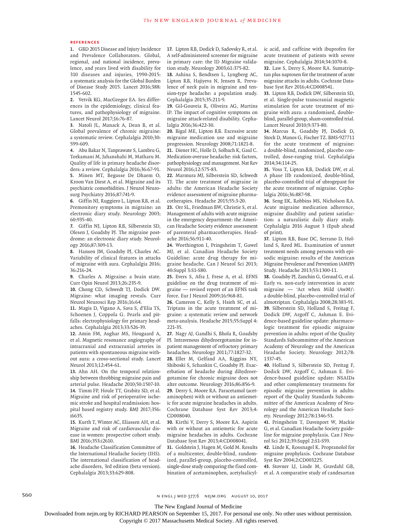#### **References**

**1.** GBD 2015 Disease and Injury Incidence and Prevalence Collaborators. Global, regional, and national incidence, prevalence, and years lived with disability for 310 diseases and injuries, 1990-2015: a systematic analysis for the Global Burden of Disease Study 2015. Lancet 2016;388: 1545-602.

**2.** Vetvik KG, MacGregor EA. Sex differences in the epidemiology, clinical features, and pathophysiology of migraine. Lancet Neurol 2017;16:76-87.

**3.** Natoli JL, Manack A, Dean B, et al. Global prevalence of chronic migraine: a systematic review. Cephalalgia 2010;30: 599-609.

**4.** Abu Bakar N, Tanprawate S, Lambru G, Torkamani M, Jahanshahi M, Matharu M. Quality of life in primary headache disorders: a review. Cephalalgia 2016;36:67-91.

**5.** Minen MT, Begasse De Dhaem O, Kroon Van Diest A, et al. Migraine and its psychiatric comorbidities. J Neurol Neurosurg Psychiatry 2016;87:741-9.

**6.** Giffin NJ, Ruggiero L, Lipton RB, et al. Premonitory symptoms in migraine: an electronic diary study. Neurology 2003; 60:935-40.

**7.** Giffin NJ, Lipton RB, Silberstein SD, Olesen J, Goadsby PJ. The migraine postdrome: an electronic diary study. Neurology 2016;87:309-13.

**8.** Hansen JM, Goadsby PJ, Charles AC. Variability of clinical features in attacks of migraine with aura. Cephalalgia 2016; 36:216-24.

**9.** Charles A. Migraine: a brain state. Curr Opin Neurol 2013;26:235-9.

**10.** Chong CD, Schwedt TJ, Dodick DW. Migraine: what imaging reveals. Curr Neurol Neurosci Rep 2016;16:64.

**11.** Magis D, Vigano A, Sava S, d'Elia TS, Schoenen J, Coppola G. Pearls and pitfalls: electrophysiology for primary headaches. Cephalalgia 2013;33:526-39.

**12.** Amin FM, Asghar MS, Hougaard A, et al. Magnetic resonance angiography of intracranial and extracranial arteries in patients with spontaneous migraine without aura: a cross-sectional study. Lancet Neurol 2013;12:454-61.

**13.** Ahn AH. On the temporal relationship between throbbing migraine pain and arterial pulse. Headache 2010;50:1507-10. **14.** Timm FP, Houle TT, Grabitz SD, et al. Migraine and risk of perioperative ischemic stroke and hospital readmission: hospital based registry study. BMJ 2017;356: i6635.

**15.** Kurth T, Winter AC, Eliassen AH, et al. Migraine and risk of cardiovascular disease in women: prospective cohort study. BMJ 2016;353:i2610.

**16.** Headache Classification Committee of the International Headache Society (IHS). The international classification of headache disorders, 3rd edition (beta version). Cephalalgia 2013;33:629-808.

**17.** Lipton RB, Dodick D, Sadovsky R, et al. A self-administered screener for migraine in primary care: the ID Migraine validation study. Neurology 2003;61:375-82.

**18.** Ashina S, Bendtsen L, Lyngberg AC, Lipton RB, Hajiyeva N, Jensen R. Prevalence of neck pain in migraine and tension-type headache: a population study. Cephalalgia 2015;35:211-9.

**19.** Gil-Gouveia R, Oliveira AG, Martins IP. The impact of cognitive symptoms on migraine attack-related disability. Cephalalgia 2016;36:422-30.

**20.** Bigal ME, Lipton RB. Excessive acute migraine medication use and migraine progression. Neurology 2008;71:1821-8. **21.** Diener HC, Holle D, Solbach K, Gaul C. Medication-overuse headache: risk factors, pathophysiology and management. Nat Rev Neurol 2016;12:575-83.

**22.** Marmura MJ, Silberstein SD, Schwedt TJ. The acute treatment of migraine in adults: the American Headache Society evidence assessment of migraine pharmacotherapies. Headache 2015;55:3-20.

**23.** Orr SL, Friedman BW, Christie S, et al. Management of adults with acute migraine in the emergency department: the American Headache Society evidence assessment of parenteral pharmacotherapies. Headache 2016;56:911-40.

**24.** Worthington I, Pringsheim T, Gawel MJ, et al. Canadian Headache Society Guideline: acute drug therapy for migraine headache. Can J Neurol Sci 2013; 40:Suppl 3:S1-S80.

**25.** Evers S, Afra J, Frese A, et al. EFNS guideline on the drug treatment of migraine — revised report of an EFNS task force. Eur J Neurol 2009;16:968-81.

**26.** Cameron C, Kelly S, Hsieh SC, et al. Triptans in the acute treatment of migraine: a systematic review and network meta-analysis. Headache 2015;55:Suppl 4: 221-35.

**27.** Nagy AJ, Gandhi S, Bhola R, Goadsby PJ. Intravenous dihydroergotamine for inpatient management of refractory primary headaches. Neurology 2011;77:1827-32.

**28.** Eller M, Gelfand AA, Riggins NY, Shiboski S, Schankin C, Goadsby PJ. Exacerbation of headache during dihydroergotamine for chronic migraine does not alter outcome. Neurology 2016;86:856-9. **29.** Derry S, Moore RA. Paracetamol (acetaminophen) with or without an antiemetic for acute migraine headaches in adults. Cochrane Database Syst Rev 2013;4: CD008040.

**30.** Kirthi V, Derry S, Moore RA. Aspirin with or without an antiemetic for acute migraine headaches in adults. Cochrane Database Syst Rev 2013;4:CD008041.

**31.** Goldstein J, Hagen M, Gold M. Results of a multicenter, double-blind, randomized, parallel-group, placebo-controlled, single-dose study comparing the fixed combination of acetaminophen, acetylsalicylic acid, and caffeine with ibuprofen for acute treatment of patients with severe migraine. Cephalalgia 2014;34:1070-8.

**32.** Law S, Derry S, Moore RA. Sumatriptan plus naproxen for the treatment of acute migraine attacks in adults. Cochrane Database Syst Rev 2016;4:CD008541.

**33.** Lipton RB, Dodick DW, Silberstein SD, et al. Single-pulse transcranial magnetic stimulation for acute treatment of migraine with aura: a randomised, doubleblind, parallel-group, sham-controlled trial. Lancet Neurol 2010;9:373-80.

**34.** Marcus R, Goadsby PJ, Dodick D, Stock D, Manos G, Fischer TZ. BMS-927711 for the acute treatment of migraine: a double-blind, randomized, placebo controlled, dose-ranging trial. Cephalalgia 2014;34:114-25.

**35.** Voss T, Lipton RB, Dodick DW, et al. A phase IIb randomized, double-blind, placebo-controlled trial of ubrogepant for the acute treatment of migraine. Cephalalgia 2016;36:887-98.

**36.** Seng EK, Robbins MS, Nicholson RA. Acute migraine medication adherence, migraine disability and patient satisfaction: a naturalistic daily diary study. Cephalalgia 2016 August 3 (Epub ahead of print).

**37.** Lipton RB, Buse DC, Serrano D, Holland S, Reed ML. Examination of unmet treatment needs among persons with episodic migraine: results of the American Migraine Prevalence and Prevention (AMPP) Study. Headache 2013;53:1300-11.

**38.** Goadsby PJ, Zanchin G, Geraud G, et al. Early vs. non-early intervention in acute migraine — 'Act when Mild (AwM)': a double-blind, placebo-controlled trial of almotriptan. Cephalalgia 2008;28:383-91. **39.** Silberstein SD, Holland S, Freitag F, Dodick DW, Argoff C, Ashman E. Evidence-based guideline update: pharmacologic treatment for episodic migraine prevention in adults: report of the Quality Standards Subcommittee of the American Academy of Neurology and the American Headache Society. Neurology 2012;78: 1337-45.

**40.** Holland S, Silberstein SD, Freitag F, Dodick DW, Argoff C, Ashman E. Evidence-based guideline update: NSAIDs and other complementary treatments for episodic migraine prevention in adults: report of the Quality Standards Subcommittee of the American Academy of Neurology and the American Headache Society. Neurology 2012;78:1346-53.

**41.** Pringsheim T, Davenport W, Mackie G, et al. Canadian Headache Society guideline for migraine prophylaxis. Can J Neurol Sci 2012;39:Suppl 2:S1-S59.

**42.** Linde K, Rossnagel K. Propranolol for migraine prophylaxis. Cochrane Database Syst Rev 2004;2:CD003225.

**43.** Stovner LJ, Linde M, Gravdahl GB, et al. A comparative study of candesartan

560 **N ENGL | MED 377;6 NEIM.ORG AUGUST 10, 2017** 

The New England Journal of Medicine

Downloaded from nejm.org by RICHARD PEARSON on September 15, 2017. For personal use only. No other uses without permission.